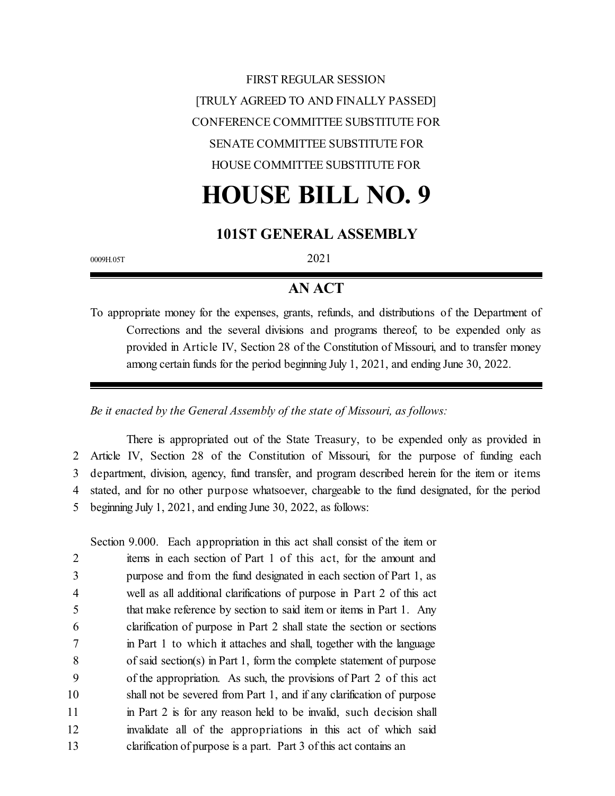FIRST REGULAR SESSION [TRULY AGREED TO AND FINALLY PASSED] CONFERENCE COMMITTEE SUBSTITUTE FOR SENATE COMMITTEE SUBSTITUTE FOR HOUSE COMMITTEE SUBSTITUTE FOR

# **HOUSE BILL NO. 9**

# **101ST GENERAL ASSEMBLY**

0009H.05T 2021

# **AN ACT**

To appropriate money for the expenses, grants, refunds, and distributions of the Department of Corrections and the several divisions and programs thereof, to be expended only as provided in Article IV, Section 28 of the Constitution of Missouri, and to transfer money among certain funds for the period beginning July 1, 2021, and ending June 30, 2022.

#### *Be it enacted by the General Assembly of the state of Missouri, as follows:*

There is appropriated out of the State Treasury, to be expended only as provided in Article IV, Section 28 of the Constitution of Missouri, for the purpose of funding each department, division, agency, fund transfer, and program described herein for the item or items stated, and for no other purpose whatsoever, chargeable to the fund designated, for the period beginning July 1, 2021, and ending June 30, 2022, as follows:

Section 9.000. Each appropriation in this act shall consist of the item or items in each section of Part 1 of this act, for the amount and purpose and from the fund designated in each section of Part 1, as well as all additional clarifications of purpose in Part 2 of this act that make reference by section to said item or items in Part 1. Any clarification of purpose in Part 2 shall state the section or sections 7 in Part 1 to which it attaches and shall, together with the language of said section(s) in Part 1, form the complete statement of purpose of the appropriation. As such, the provisions of Part 2 of this act shall not be severed from Part 1, and if any clarification of purpose 11 in Part 2 is for any reason held to be invalid, such decision shall invalidate all of the appropriations in this act of which said 13 clarification of purpose is a part. Part 3 of this act contains an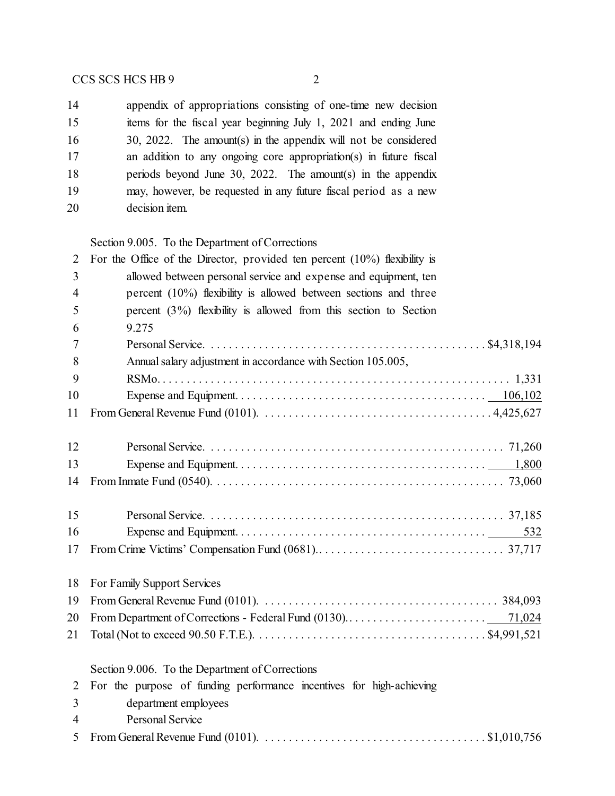appendix of appropriations consisting of one-time new decision items for the fiscal year beginning July 1, 2021 and ending June 30, 2022. The amount(s) in the appendix will not be considered an addition to any ongoing core appropriation(s) in future fiscal 18 periods beyond June 30, 2022. The amount(s) in the appendix may, however, be requested in any future fiscal period as a new decision item.

#### Section 9.005. To the Department of Corrections

| 2              | For the Office of the Director, provided ten percent $(10\%)$ flexibility is                                                           |
|----------------|----------------------------------------------------------------------------------------------------------------------------------------|
| 3              | allowed between personal service and expense and equipment, ten                                                                        |
| 4              | percent $(10\%)$ flexibility is allowed between sections and three                                                                     |
| 5              | percent $(3\%)$ flexibility is allowed from this section to Section                                                                    |
| 6              | 9.275                                                                                                                                  |
| 7              |                                                                                                                                        |
| 8              | Annual salary adjustment in accordance with Section 105.005,                                                                           |
| 9              |                                                                                                                                        |
| 10             |                                                                                                                                        |
| 11             |                                                                                                                                        |
|                |                                                                                                                                        |
| 12             |                                                                                                                                        |
| 13             |                                                                                                                                        |
| 14             |                                                                                                                                        |
|                |                                                                                                                                        |
| 15             |                                                                                                                                        |
| 16             | 532                                                                                                                                    |
| 17             |                                                                                                                                        |
|                |                                                                                                                                        |
| 18             | For Family Support Services                                                                                                            |
| 19             | From General Revenue Fund (0101). $\ldots \ldots \ldots \ldots \ldots \ldots \ldots \ldots \ldots \ldots \ldots \ldots \ldots$ 384,093 |
| 20             |                                                                                                                                        |
| 21             |                                                                                                                                        |
|                |                                                                                                                                        |
|                | Section 9.006. To the Department of Corrections                                                                                        |
| $\overline{2}$ | For the purpose of funding performance incentives for high-achieving                                                                   |
| 3              | department employees                                                                                                                   |
| 4              | <b>Personal Service</b>                                                                                                                |
| 5              | From General Revenue Fund (0101). $\dots \dots \dots \dots \dots \dots \dots \dots \dots \dots \dots \$ \$1,010,756                    |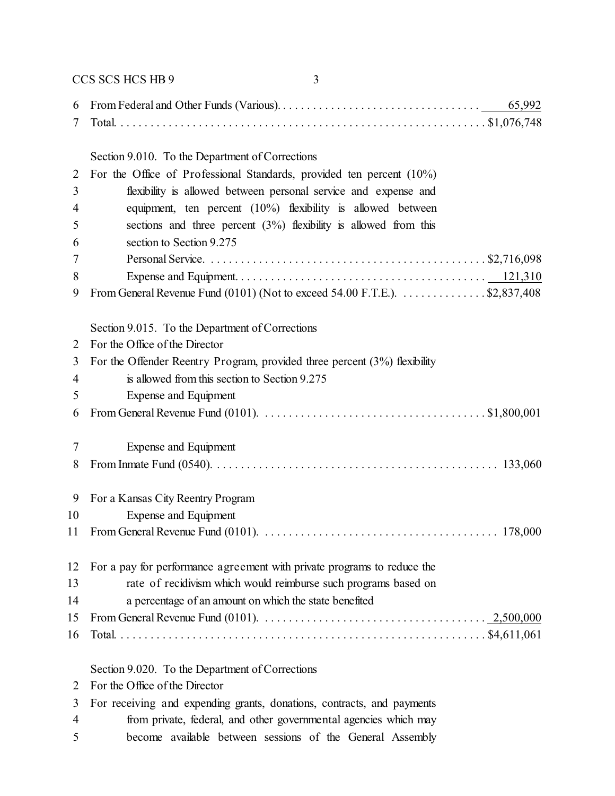CCS SCS HCS HB 9 3 From Federal and Other Funds (Various). . . . . . . . . . . . . . . . . . . . . . . . . . . . . . . . . . 65,992 Total. . . . . . . . . . . . . . . . . . . . . . . . . . . . . . . . . . . . . . . . . . . . . . . . . . . . . . . . . . . . . . \$1,076,748 Section 9.010. To the Department of Corrections For the Office of Professional Standards, provided ten percent (10%) flexibility is allowed between personal service and expense and equipment, ten percent (10%) flexibility is allowed between sections and three percent (3%) flexibility is allowed from this section to Section 9.275 Personal Service. . . . . . . . . . . . . . . . . . . . . . . . . . . . . . . . . . . . . . . . . . . . . . . \$2,716,098 Expense and Equipment. . . . . . . . . . . . . . . . . . . . . . . . . . . . . . . . . . . . . . . . . . 121,310 9 From General Revenue Fund (0101) (Not to exceed 54.00 F.T.E.).  $\dots$  . . . . . . . . . . \$2,837,408 Section 9.015. To the Department of Corrections For the Office of the Director For the Offender Reentry Program, provided three percent (3%) flexibility is allowed from this section to Section 9.275 Expense and Equipment From General Revenue Fund (0101). . . . . . . . . . . . . . . . . . . . . . . . . . . . . . . . . . . . . . \$1,800,001 Expense and Equipment From Inmate Fund (0540). . . . . . . . . . . . . . . . . . . . . . . . . . . . . . . . . . . . . . . . . . . . . . . . 133,060 For a Kansas City Reentry Program Expense and Equipment From General Revenue Fund (0101). . . . . . . . . . . . . . . . . . . . . . . . . . . . . . . . . . . . . . . . 178,000 For a pay for performance agreement with private programs to reduce the rate of recidivism which would reimburse such programs based on a percentage of an amount on which the state benefited From General Revenue Fund (0101). . . . . . . . . . . . . . . . . . . . . . . . . . . . . . . . . . . . . . 2,500,000 Total. . . . . . . . . . . . . . . . . . . . . . . . . . . . . . . . . . . . . . . . . . . . . . . . . . . . . . . . . . . . . . \$4,611,061 Section 9.020. To the Department of Corrections

For the Office of the Director

- For receiving and expending grants, donations, contracts, and payments
- from private, federal, and other governmental agencies which may
- become available between sessions of the General Assembly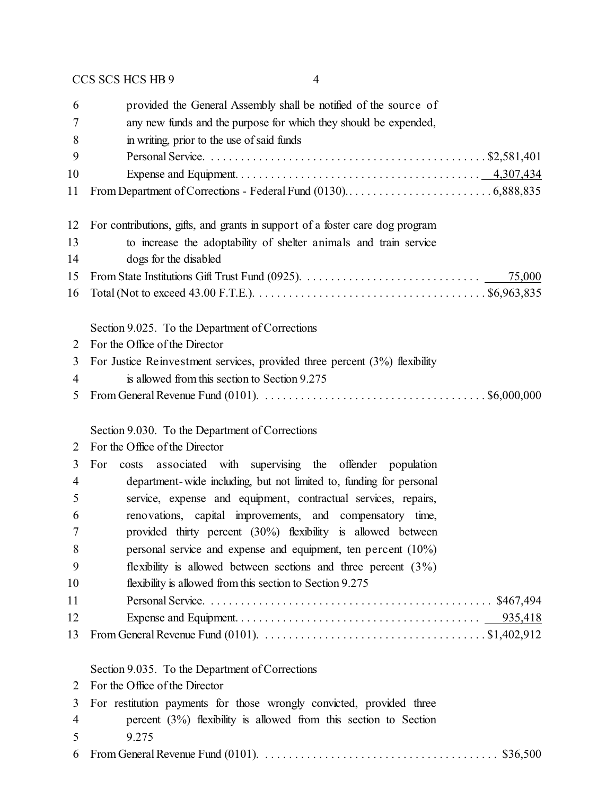| 6  | provided the General Assembly shall be notified of the source of                                                             |
|----|------------------------------------------------------------------------------------------------------------------------------|
| 7  | any new funds and the purpose for which they should be expended,                                                             |
| 8  | in writing, prior to the use of said funds                                                                                   |
| 9  |                                                                                                                              |
| 10 |                                                                                                                              |
| 11 |                                                                                                                              |
| 12 | For contributions, gifts, and grants in support of a foster care dog program                                                 |
| 13 | to increase the adoptability of shelter animals and train service                                                            |
| 14 | dogs for the disabled                                                                                                        |
| 15 |                                                                                                                              |
| 16 |                                                                                                                              |
|    | Section 9.025. To the Department of Corrections                                                                              |
| 2  | For the Office of the Director                                                                                               |
| 3  | For Justice Reinvestment services, provided three percent $(3%)$ flexibility                                                 |
| 4  | is allowed from this section to Section 9.275                                                                                |
| 5  | From General Revenue Fund (0101). $\ldots \ldots \ldots \ldots \ldots \ldots \ldots \ldots \ldots \ldots \ldots$ \$6,000,000 |
|    | Section 9.030. To the Department of Corrections                                                                              |
| 2  | For the Office of the Director                                                                                               |
| 3  | costs associated with supervising the offender population<br>For                                                             |
| 4  | department-wide including, but not limited to, funding for personal                                                          |
| 5  | service, expense and equipment, contractual services, repairs,                                                               |
| 6  | renovations, capital improvements, and compensatory time,                                                                    |
| 7  | provided thirty percent (30%) flexibility is allowed between                                                                 |
| 8  | personal service and expense and equipment, ten percent $(10\%)$                                                             |
| 9  | flexibility is allowed between sections and three percent $(3\%)$                                                            |
| 10 | flexibility is allowed from this section to Section 9.275                                                                    |
| 11 |                                                                                                                              |
| 12 |                                                                                                                              |
| 13 | From General Revenue Fund (0101). $\dots \dots \dots \dots \dots \dots \dots \dots \dots \dots \dots \dots \$ \$1,402,912    |
|    | Section 9.035. To the Department of Corrections                                                                              |
| 2  | For the Office of the Director                                                                                               |
| 3  | For restitution payments for those wrongly convicted, provided three                                                         |
| 4  | percent $(3\%)$ flexibility is allowed from this section to Section                                                          |
| 5  | 9.275                                                                                                                        |
| 6  | From General Revenue Fund (0101). $\ldots \ldots \ldots \ldots \ldots \ldots \ldots \ldots \ldots \ldots \ldots$ \$36,500    |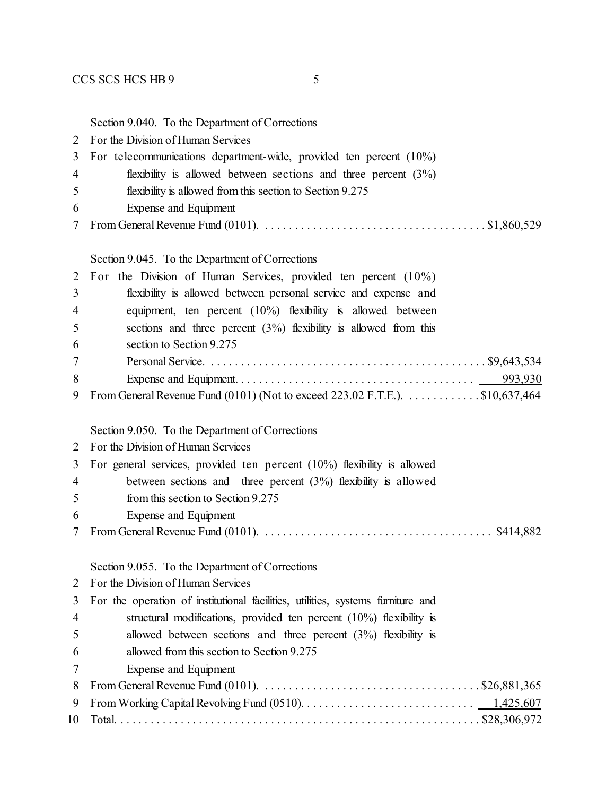Section 9.040. To the Department of Corrections

- For the Division of Human Services For telecommunications department-wide, provided ten percent (10%) flexibility is allowed between sections and three percent (3%) flexibility is allowed from this section to Section 9.275 Expense and Equipment From General Revenue Fund (0101). . . . . . . . . . . . . . . . . . . . . . . . . . . . . . . . . . . . . . \$1,860,529 Section 9.045. To the Department of Corrections For the Division of Human Services, provided ten percent (10%) flexibility is allowed between personal service and expense and equipment, ten percent (10%) flexibility is allowed between sections and three percent (3%) flexibility is allowed from this section to Section 9.275
- Personal Service. . . . . . . . . . . . . . . . . . . . . . . . . . . . . . . . . . . . . . . . . . . . . . . \$9,643,534 Expense and Equipment. . . . . . . . . . . . . . . . . . . . . . . . . . . . . . . . . . . . . . . . 993,930 From General Revenue Fund (0101) (Not to exceed 223.02 F.T.E.). . . . . . . . . . . . . \$10,637,464

Section 9.050. To the Department of Corrections

For the Division of Human Services

For general services, provided ten percent (10%) flexibility is allowed

- between sections and three percent (3%) flexibility is allowed
- from this section to Section 9.275
- Expense and Equipment
- From General Revenue Fund (0101). . . . . . . . . . . . . . . . . . . . . . . . . . . . . . . . . . . . . . . \$414,882

Section 9.055. To the Department of Corrections

|                | 2 For the Division of Human Services                                            |
|----------------|---------------------------------------------------------------------------------|
| 3              | For the operation of institutional facilities, utilities, systems furniture and |
| $\overline{4}$ | structural modifications, provided ten percent $(10\%)$ flexibility is          |
| - 5            | allowed between sections and three percent $(3\%)$ flexibility is               |
| -6             | allowed from this section to Section 9.275                                      |
| 7              | Expense and Equipment                                                           |
| 8              |                                                                                 |
| 9              |                                                                                 |
|                |                                                                                 |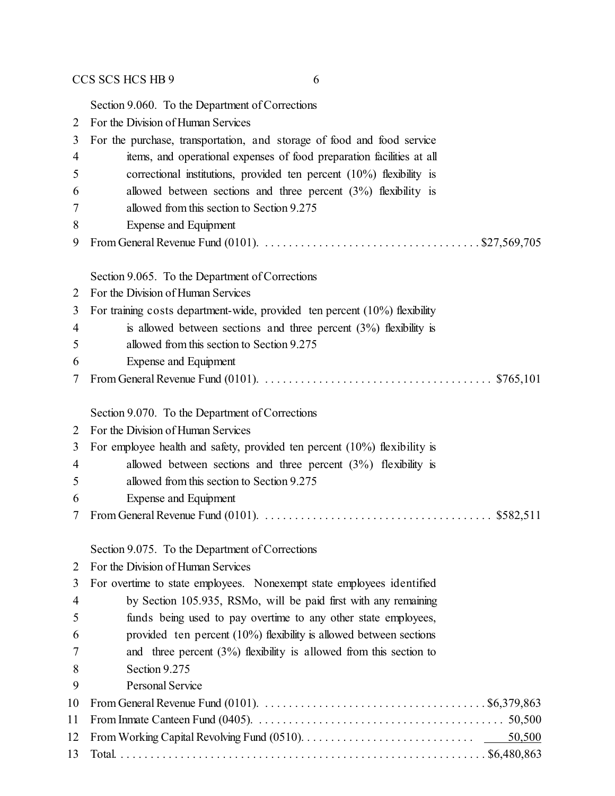Section 9.060. To the Department of Corrections For the Division of Human Services For the purchase, transportation, and storage of food and food service items, and operational expenses of food preparation facilities at all correctional institutions, provided ten percent (10%) flexibility is allowed between sections and three percent (3%) flexibility is allowed from this section to Section 9.275 Expense and Equipment From General Revenue Fund (0101). . . . . . . . . . . . . . . . . . . . . . . . . . . . . . . . . . . . . \$27,569,705 Section 9.065. To the Department of Corrections For the Division of Human Services For training costs department-wide, provided ten percent (10%) flexibility is allowed between sections and three percent (3%) flexibility is allowed from this section to Section 9.275 Expense and Equipment From General Revenue Fund (0101). . . . . . . . . . . . . . . . . . . . . . . . . . . . . . . . . . . . . . . \$765,101 Section 9.070. To the Department of Corrections For the Division of Human Services For employee health and safety, provided ten percent (10%) flexibility is allowed between sections and three percent (3%) flexibility is 5 allowed from this section to Section 9.275 Expense and Equipment From General Revenue Fund (0101). . . . . . . . . . . . . . . . . . . . . . . . . . . . . . . . . . . . . . . \$582,511 Section 9.075. To the Department of Corrections For the Division of Human Services For overtime to state employees. Nonexempt state employees identified by Section 105.935, RSMo, will be paid first with any remaining funds being used to pay overtime to any other state employees, provided ten percent (10%) flexibility is allowed between sections and three percent (3%) flexibility is allowed from this section to

 Section 9.275 Personal Service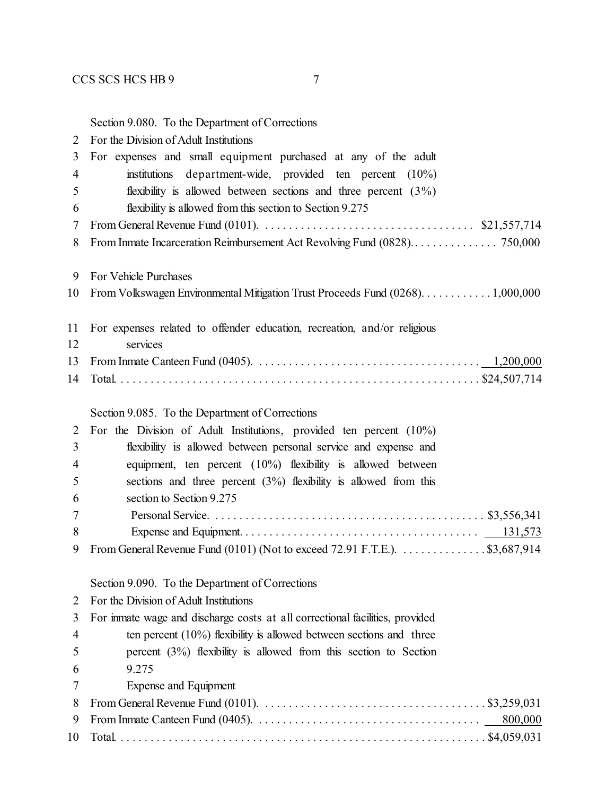Section 9.080. To the Department of Corrections

| $\overline{2}$ | For the Division of Adult Institutions                                                                                |
|----------------|-----------------------------------------------------------------------------------------------------------------------|
| 3              | For expenses and small equipment purchased at any of the adult                                                        |
| 4              | institutions<br>department-wide, provided ten percent $(10\%)$                                                        |
| 5              | flexibility is allowed between sections and three percent $(3\%)$                                                     |
| 6              | flexibility is allowed from this section to Section 9.275                                                             |
| 7              | From General Revenue Fund (0101). $\ldots \ldots \ldots \ldots \ldots \ldots \ldots \ldots \ldots$ \$21,557,714       |
| 8              |                                                                                                                       |
| 9              | For Vehicle Purchases                                                                                                 |
| 10             | From Volkswagen Environmental Mitigation Trust Proceeds Fund (0268). 1,000,000                                        |
| 11             | For expenses related to offender education, recreation, and/or religious                                              |
| 12             | services                                                                                                              |
| 13             |                                                                                                                       |
| 14             |                                                                                                                       |
|                | Section 9.085. To the Department of Corrections                                                                       |
| 2              | For the Division of Adult Institutions, provided ten percent $(10\%)$                                                 |
| 3              | flexibility is allowed between personal service and expense and                                                       |
| 4              | equipment, ten percent $(10\%)$ flexibility is allowed between                                                        |
| 5              | sections and three percent $(3%)$ flexibility is allowed from this                                                    |
| 6              | section to Section 9.275                                                                                              |
| 7              |                                                                                                                       |
| 8<br>9         | From General Revenue Fund (0101) (Not to exceed 72.91 F.T.E.). \$3,687,914                                            |
|                | Section 9.090. To the Department of Corrections                                                                       |
|                | For the Division of Adult Institutions                                                                                |
| 2<br>3         | For inmate wage and discharge costs at all correctional facilities, provided                                          |
| $\overline{4}$ | ten percent $(10\%)$ flexibility is allowed between sections and three                                                |
| 5              | percent $(3%)$ flexibility is allowed from this section to Section                                                    |
| 6              | 9.275                                                                                                                 |
| 7              | Expense and Equipment                                                                                                 |
| 8              | From General Revenue Fund (0101). $\ldots \ldots \ldots \ldots \ldots \ldots \ldots \ldots \ldots \ldots$ \$3,259,031 |
| 9              | 800,000                                                                                                               |
| 10             |                                                                                                                       |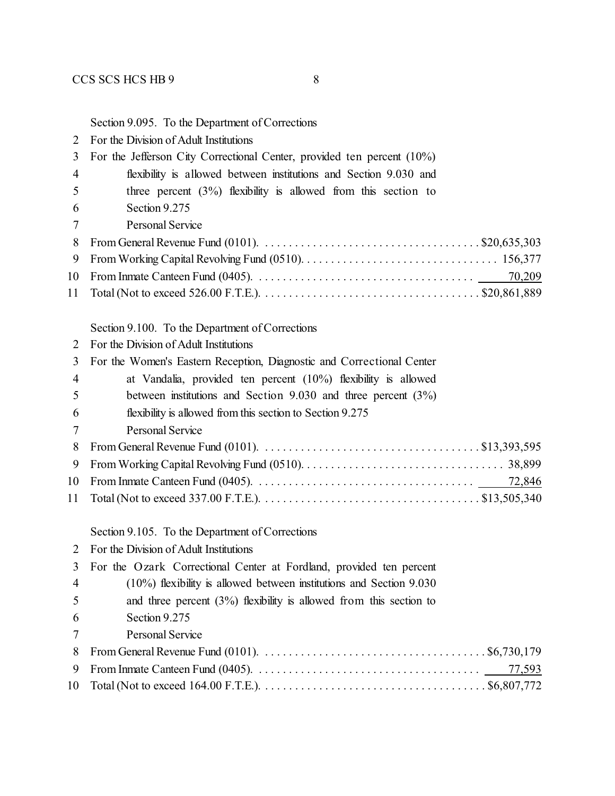Section 9.095. To the Department of Corrections

| $\overline{2}$ | For the Division of Adult Institutions                                                                                              |
|----------------|-------------------------------------------------------------------------------------------------------------------------------------|
| 3              | For the Jefferson City Correctional Center, provided ten percent (10%)                                                              |
| 4              | flexibility is allowed between institutions and Section 9.030 and                                                                   |
| 5              | three percent $(3\%)$ flexibility is allowed from this section to                                                                   |
| 6              | Section 9.275                                                                                                                       |
| 7              | Personal Service                                                                                                                    |
| 8              | From General Revenue Fund (0101). $\ldots \ldots \ldots \ldots \ldots \ldots \ldots \ldots \ldots \ldots \ldots$ \$20,635,303       |
| 9              |                                                                                                                                     |
| 10             |                                                                                                                                     |
| 11             |                                                                                                                                     |
|                | Section 9.100. To the Department of Corrections                                                                                     |
| 2              | For the Division of Adult Institutions                                                                                              |
| 3              | For the Women's Eastern Reception, Diagnostic and Correctional Center                                                               |
| 4              | at Vandalia, provided ten percent $(10\%)$ flexibility is allowed                                                                   |
| 5              | between institutions and Section $9.030$ and three percent $(3\%)$                                                                  |
| 6              | flexibility is allowed from this section to Section 9.275                                                                           |
| 7              | <b>Personal Service</b>                                                                                                             |
| 8              | From General Revenue Fund (0101). $\ldots \ldots \ldots \ldots \ldots \ldots \ldots \ldots \ldots \ldots \ldots$ \$13,393,595       |
| 9              |                                                                                                                                     |
| 10             |                                                                                                                                     |
| 11             |                                                                                                                                     |
|                | Section 9.105. To the Department of Corrections                                                                                     |
| 2              | For the Division of Adult Institutions                                                                                              |
| 3              | For the Ozark Correctional Center at Fordland, provided ten percent                                                                 |
| 4              | $(10\%)$ flexibility is allowed between institutions and Section 9.030                                                              |
| 5              | and three percent $(3\%)$ flexibility is allowed from this section to                                                               |
| 6              | Section 9.275                                                                                                                       |
| 7              | Personal Service                                                                                                                    |
| 8              | From General Revenue Fund (0101). $\ldots \ldots \ldots \ldots \ldots \ldots \ldots \ldots \ldots \ldots \ldots \ldots$ \$6,730,179 |
| 9              | 77,593                                                                                                                              |
| 10             |                                                                                                                                     |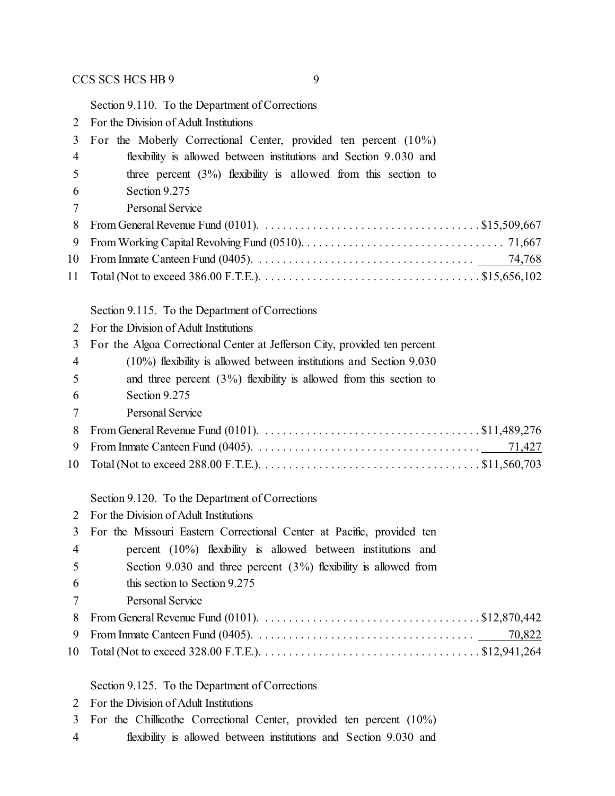Section 9.110. To the Department of Corrections

| $\overline{2}$ | For the Division of Adult Institutions |  |
|----------------|----------------------------------------|--|
|                |                                        |  |

| 3              | For the Moberly Correctional Center, provided ten percent (10%)                                                                      |
|----------------|--------------------------------------------------------------------------------------------------------------------------------------|
| 4              | flexibility is allowed between institutions and Section 9.030 and                                                                    |
| 5              | three percent $(3\%)$ flexibility is allowed from this section to                                                                    |
| 6              | Section 9.275                                                                                                                        |
| 7              | Personal Service                                                                                                                     |
| 8              | From General Revenue Fund (0101). $\ldots \ldots \ldots \ldots \ldots \ldots \ldots \ldots \ldots \ldots \ldots$ \$15,509,667        |
| 9              |                                                                                                                                      |
| 10             |                                                                                                                                      |
| 11             |                                                                                                                                      |
|                | Section 9.115. To the Department of Corrections                                                                                      |
| 2              | For the Division of Adult Institutions                                                                                               |
| 3              | For the Algoa Correctional Center at Jefferson City, provided ten percent                                                            |
| $\overline{4}$ | (10%) flexibility is allowed between institutions and Section 9.030                                                                  |
| 5              | and three percent $(3\%)$ flexibility is allowed from this section to                                                                |
| 6              | Section 9.275                                                                                                                        |
| 7              | <b>Personal Service</b>                                                                                                              |
| 8              | From General Revenue Fund (0101). $\ldots \ldots \ldots \ldots \ldots \ldots \ldots \ldots \ldots \ldots \ldots$ \$11,489,276        |
| 9              | 71,427                                                                                                                               |
| 10             |                                                                                                                                      |
|                | Section 9.120. To the Department of Corrections                                                                                      |
| 2              | For the Division of Adult Institutions                                                                                               |
| 3              | For the Missouri Eastern Correctional Center at Pacific, provided ten                                                                |
| 4              | percent (10%) flexibility is allowed between institutions and                                                                        |
| 5              | Section 9.030 and three percent $(3%)$ flexibility is allowed from                                                                   |
| 6              | this section to Section 9.275                                                                                                        |
| 7              | <b>Personal Service</b>                                                                                                              |
| 8              | From General Revenue Fund (0101). $\ldots \ldots \ldots \ldots \ldots \ldots \ldots \ldots \ldots \ldots \ldots \ldots$ \$12,870,442 |
| 9              | 70,822                                                                                                                               |
| 10             |                                                                                                                                      |

Section 9.125. To the Department of Corrections

- For the Chillicothe Correctional Center, provided ten percent (10%)
- flexibility is allowed between institutions and Section 9.030 and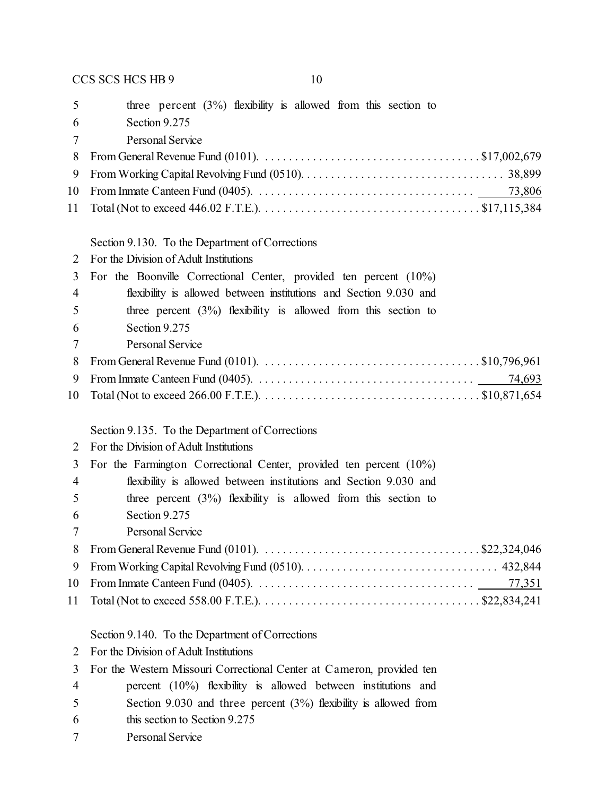| 5              | three percent $(3%)$ flexibility is allowed from this section to                                                                     |
|----------------|--------------------------------------------------------------------------------------------------------------------------------------|
| 6              | Section 9.275                                                                                                                        |
| 7              | <b>Personal Service</b>                                                                                                              |
| 8              | From General Revenue Fund (0101). $\ldots \ldots \ldots \ldots \ldots \ldots \ldots \ldots \ldots \ldots \ldots \ldots$ \$17,002,679 |
| 9              |                                                                                                                                      |
| 10             |                                                                                                                                      |
| 11             |                                                                                                                                      |
|                | Section 9.130. To the Department of Corrections                                                                                      |
| 2              | For the Division of Adult Institutions                                                                                               |
| 3              | For the Boonville Correctional Center, provided ten percent $(10\%)$                                                                 |
| $\overline{4}$ | flexibility is allowed between institutions and Section 9.030 and                                                                    |
| 5              | three percent $(3\%)$ flexibility is allowed from this section to                                                                    |
| 6              | Section 9.275                                                                                                                        |
| 7              | Personal Service                                                                                                                     |
| 8              | From General Revenue Fund (0101). $\ldots \ldots \ldots \ldots \ldots \ldots \ldots \ldots \ldots \ldots \ldots$ . \$10,796,961      |
| 9              |                                                                                                                                      |
| 10             |                                                                                                                                      |
|                |                                                                                                                                      |
|                |                                                                                                                                      |
|                | Section 9.135. To the Department of Corrections                                                                                      |
| 2              | For the Division of Adult Institutions                                                                                               |
| 3              | For the Farmington Correctional Center, provided ten percent (10%)                                                                   |
| 4              | flexibility is allowed between institutions and Section 9.030 and                                                                    |
| 5              | three percent $(3\%)$ flexibility is allowed from this section to                                                                    |
| 6              | Section 9.275                                                                                                                        |
| 7              | Personal Service                                                                                                                     |
| 8              |                                                                                                                                      |
| 9              |                                                                                                                                      |
| 10             | 77,351                                                                                                                               |
| 11             |                                                                                                                                      |
|                | Section 9.140. To the Department of Corrections                                                                                      |
| 2              | For the Division of Adult Institutions                                                                                               |
| 3              | For the Western Missouri Correctional Center at Cameron, provided ten                                                                |
| $\overline{4}$ | percent $(10\%)$ flexibility is allowed between institutions and                                                                     |
| 5              | Section 9.030 and three percent $(3%)$ flexibility is allowed from                                                                   |
| 6              | this section to Section 9.275                                                                                                        |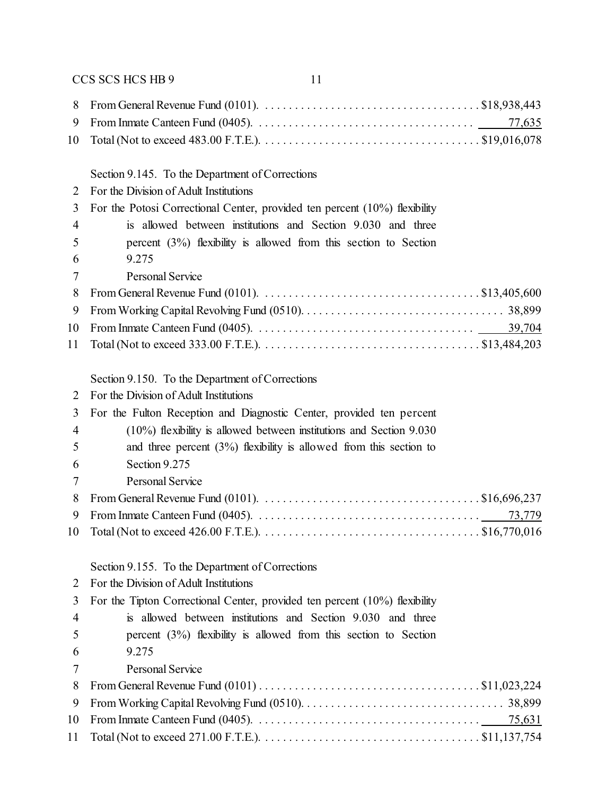#### Section 9.145. To the Department of Corrections

- For the Division of Adult Institutions
- For the Potosi Correctional Center, provided ten percent (10%) flexibility
- is allowed between institutions and Section 9.030 and three percent (3%) flexibility is allowed from this section to Section 9.275
- Personal Service

#### Section 9.150. To the Department of Corrections

- For the Division of Adult Institutions
- For the Fulton Reception and Diagnostic Center, provided ten percent

| $\overline{4}$ | $(10\%)$ flexibility is allowed between institutions and Section 9.030 |            |
|----------------|------------------------------------------------------------------------|------------|
| 5              | and three percent $(3\%)$ flexibility is allowed from this section to  |            |
| -6             | Section 9.275                                                          |            |
| 7              | Personal Service                                                       |            |
|                | $\Omega$ From General Revenue Fund (0101)                              | \$16696237 |

| $\sigma$ - I folli ocholal november than (0.101). The contraction of contraction of the contraction of $\sigma$ |  |
|-----------------------------------------------------------------------------------------------------------------|--|

#### Section 9.155. To the Department of Corrections

| 2 |  | For the Division of Adult Institutions |
|---|--|----------------------------------------|
|   |  |                                        |

- For the Tipton Correctional Center, provided ten percent (10%) flexibility
- is allowed between institutions and Section 9.030 and three percent (3%) flexibility is allowed from this section to Section
- 9.275
- Personal Service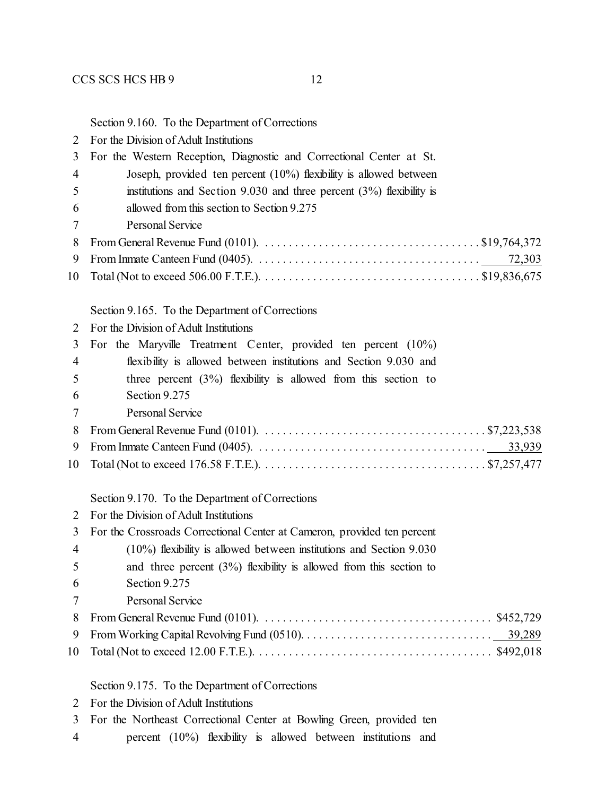#### Section 9.160. To the Department of Corrections

| $\overline{2}$ | For the Division of Adult Institutions                                                                                              |
|----------------|-------------------------------------------------------------------------------------------------------------------------------------|
| 3              | For the Western Reception, Diagnostic and Correctional Center at St.                                                                |
| $\overline{4}$ | Joseph, provided ten percent $(10\%)$ flexibility is allowed between                                                                |
| 5              | institutions and Section 9.030 and three percent $(3\%)$ flexibility is                                                             |
| 6              | allowed from this section to Section 9.275                                                                                          |
| 7              | <b>Personal Service</b>                                                                                                             |
| 8              | From General Revenue Fund (0101). $\ldots \ldots \ldots \ldots \ldots \ldots \ldots \ldots \ldots \ldots \ldots$ \$19,764,372       |
| 9              | 72,303                                                                                                                              |
| 10             |                                                                                                                                     |
|                |                                                                                                                                     |
|                | Section 9.165. To the Department of Corrections                                                                                     |
| $\overline{2}$ | For the Division of Adult Institutions                                                                                              |
| 3              | For the Maryville Treatment Center, provided ten percent (10%)                                                                      |
| 4              | flexibility is allowed between institutions and Section 9.030 and                                                                   |
| 5              | three percent $(3\%)$ flexibility is allowed from this section to                                                                   |
| 6              | Section 9.275                                                                                                                       |
| 7              | <b>Personal Service</b>                                                                                                             |
| 8              | From General Revenue Fund (0101). $\ldots \ldots \ldots \ldots \ldots \ldots \ldots \ldots \ldots \ldots \ldots \ldots$ \$7,223,538 |
| 9              |                                                                                                                                     |
| 10             |                                                                                                                                     |
|                | Section 9.170. To the Department of Corrections                                                                                     |
| 2              | For the Division of Adult Institutions                                                                                              |
| 3              | For the Crossroads Correctional Center at Cameron, provided ten percent                                                             |
| $\overline{4}$ | $(10\%)$ flexibility is allowed between institutions and Section 9.030                                                              |
| 5              | and three percent $(3%)$ flexibility is allowed from this section to                                                                |
| 6              | Section 9.275                                                                                                                       |
| 7              | Personal Service                                                                                                                    |

Section 9.175. To the Department of Corrections

| 2 |  | For the Division of Adult Institutions |
|---|--|----------------------------------------|
|   |  |                                        |

- For the Northeast Correctional Center at Bowling Green, provided ten
- percent (10%) flexibility is allowed between institutions and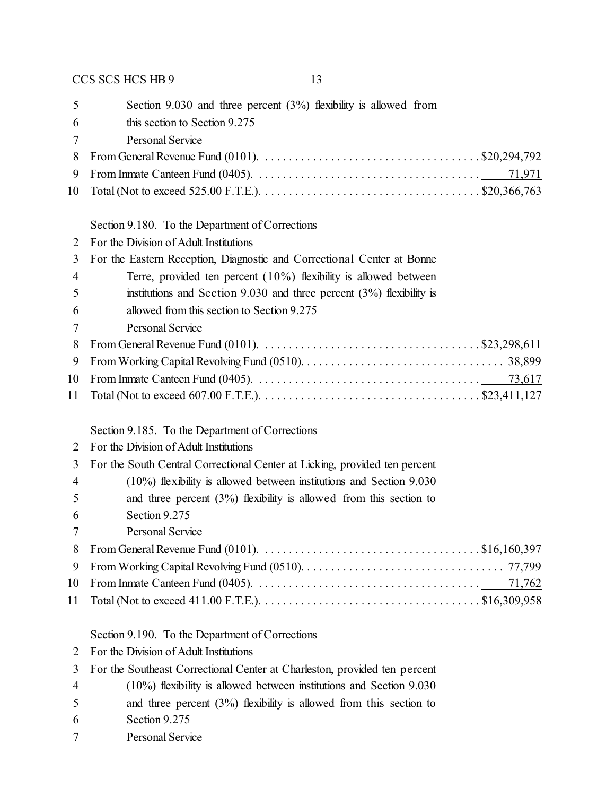| 5              | Section 9.030 and three percent $(3%)$ flexibility is allowed from                                                                        |
|----------------|-------------------------------------------------------------------------------------------------------------------------------------------|
| 6              | this section to Section 9.275                                                                                                             |
| 7              | <b>Personal Service</b>                                                                                                                   |
| 8              | From General Revenue Fund (0101). $\ldots \ldots \ldots \ldots \ldots \ldots \ldots \ldots \ldots \ldots \ldots$ \$20,294,792             |
| 9              | 71,971                                                                                                                                    |
| 10             |                                                                                                                                           |
|                | Section 9.180. To the Department of Corrections                                                                                           |
| 2              | For the Division of Adult Institutions                                                                                                    |
| 3              | For the Eastern Reception, Diagnostic and Correctional Center at Bonne                                                                    |
| $\overline{4}$ | Terre, provided ten percent $(10\%)$ flexibility is allowed between                                                                       |
| 5              | institutions and Section 9.030 and three percent $(3%)$ flexibility is                                                                    |
| 6              | allowed from this section to Section 9.275                                                                                                |
| 7              | <b>Personal Service</b>                                                                                                                   |
| 8              |                                                                                                                                           |
| 9              |                                                                                                                                           |
| 10             |                                                                                                                                           |
| 11             |                                                                                                                                           |
|                | Section 9.185. To the Department of Corrections                                                                                           |
| 2              | For the Division of Adult Institutions                                                                                                    |
| 3              | For the South Central Correctional Center at Licking, provided ten percent                                                                |
| $\overline{4}$ | $(10\%)$ flexibility is allowed between institutions and Section 9.030                                                                    |
| 5              | and three percent $(3%)$ flexibility is allowed from this section to                                                                      |
| 6              | Section 9.275                                                                                                                             |
| 7              | Personal Service                                                                                                                          |
| 8              | From General Revenue Fund (0101). $\ldots \ldots \ldots \ldots \ldots \ldots \ldots \ldots \ldots \ldots \ldots$ \$16,160,397             |
| 9              |                                                                                                                                           |
| 10             |                                                                                                                                           |
| 11             | Total (Not to exceed 411.00 F.T.E.). $\dots \dots \dots \dots \dots \dots \dots \dots \dots \dots \dots \dots \dots \dots \$ \$16,309,958 |
|                | Section 9.190. To the Department of Corrections                                                                                           |
| 2              | For the Division of Adult Institutions                                                                                                    |
| 3              | For the Southeast Correctional Center at Charleston, provided ten percent                                                                 |
| $\overline{4}$ | $(10\%)$ flexibility is allowed between institutions and Section 9.030                                                                    |
| 5              |                                                                                                                                           |
|                | and three percent $(3%)$ flexibility is allowed from this section to                                                                      |
| 6              | Section 9.275                                                                                                                             |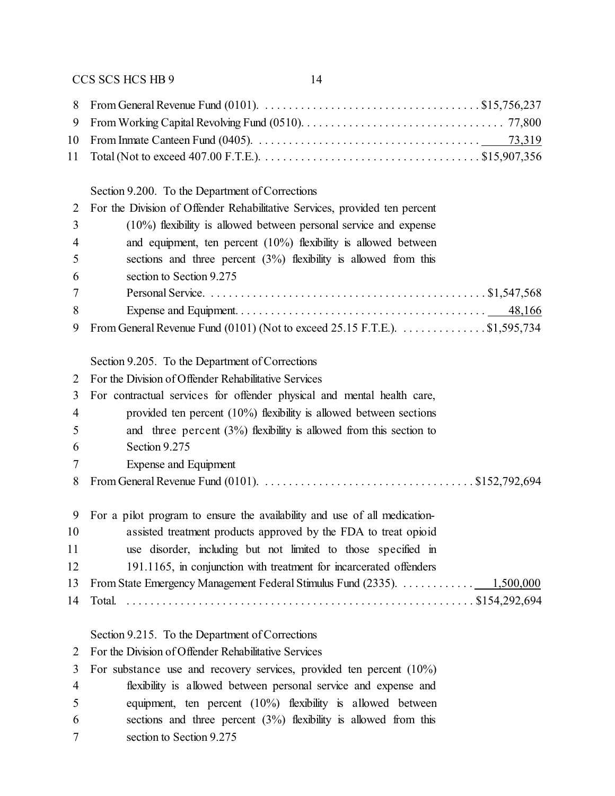Total (Not to exceed 407.00 F.T.E.). . . . . . . . . . . . . . . . . . . . . . . . . . . . . . . . . . . . . \$15,907,356

# $S_{\text{action}}$  9.200. To the Department of Corrections

|                | Section 9.200. To the Department of Corrections                            |
|----------------|----------------------------------------------------------------------------|
| 2              | For the Division of Offender Rehabilitative Services, provided ten percent |
| 3              | $(10\%)$ flexibility is allowed between personal service and expense       |
| 4              | and equipment, ten percent $(10\%)$ flexibility is allowed between         |
| 5              | sections and three percent $(3%)$ flexibility is allowed from this         |
| 6              | section to Section 9.275                                                   |
| 7              |                                                                            |
| 8              |                                                                            |
| 9              | From General Revenue Fund (0101) (Not to exceed 25.15 F.T.E.). \$1,595,734 |
|                | Section 9.205. To the Department of Corrections                            |
| 2              | For the Division of Offender Rehabilitative Services                       |
| 3              | For contractual services for offender physical and mental health care,     |
| $\overline{4}$ | provided ten percent $(10\%)$ flexibility is allowed between sections      |
| 5              | and three percent $(3\%)$ flexibility is allowed from this section to      |
| 6              | Section 9.275                                                              |
| 7              | Expense and Equipment                                                      |
| 8              |                                                                            |
| 9              | For a pilot program to ensure the availability and use of all medication-  |
| 10             | assisted treatment products approved by the FDA to treat opioid            |
| 11             | use disorder, including but not limited to those specified in              |
| 12             | 191.1165, in conjunction with treatment for incarcerated offenders         |
| 13             | From State Emergency Management Federal Stimulus Fund (2335). 1,500,000    |
| 14             |                                                                            |
|                | Section 9.215. To the Department of Corrections                            |
| $\overline{2}$ | For the Division of Offender Rehabilitative Services                       |
| 3              | For substance use and recovery services, provided ten percent $(10\%)$     |
| 4              | flexibility is allowed between personal service and expense and            |

- equipment, ten percent (10%) flexibility is allowed between sections and three percent (3%) flexibility is allowed from this
- section to Section 9.275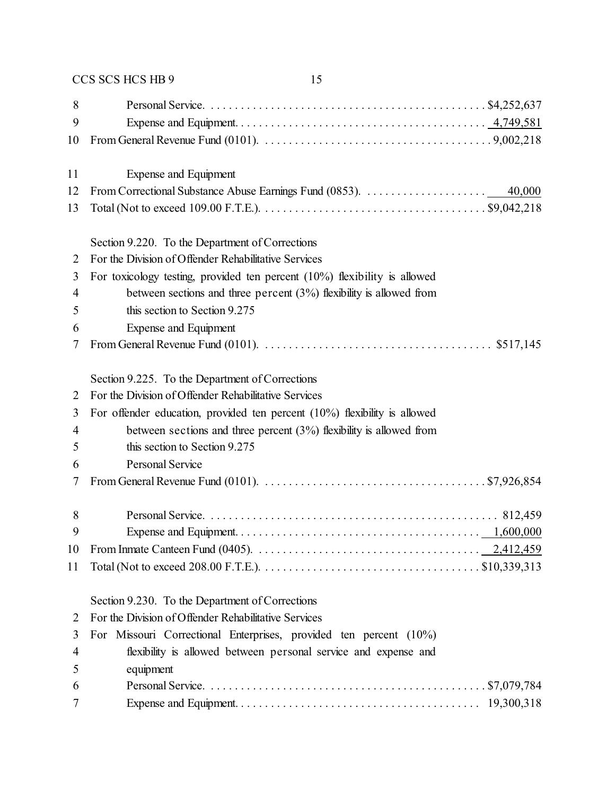| 8<br>9<br>10 |                                                                                                                                     |
|--------------|-------------------------------------------------------------------------------------------------------------------------------------|
| 11           | <b>Expense and Equipment</b>                                                                                                        |
| 12           |                                                                                                                                     |
| 13           |                                                                                                                                     |
|              | Section 9.220. To the Department of Corrections                                                                                     |
| 2            | For the Division of Offender Rehabilitative Services                                                                                |
| 3            | For toxicology testing, provided ten percent $(10\%)$ flexibility is allowed                                                        |
| 4            | between sections and three percent $(3%)$ flexibility is allowed from                                                               |
| 5            | this section to Section 9.275                                                                                                       |
| 6            | <b>Expense and Equipment</b>                                                                                                        |
| 7            |                                                                                                                                     |
|              |                                                                                                                                     |
|              | Section 9.225. To the Department of Corrections<br>For the Division of Offender Rehabilitative Services                             |
| 2            |                                                                                                                                     |
| 3            | For offender education, provided ten percent $(10\%)$ flexibility is allowed                                                        |
| 4            | between sections and three percent $(3%)$ flexibility is allowed from                                                               |
| 5            | this section to Section 9.275                                                                                                       |
| 6            | <b>Personal Service</b>                                                                                                             |
| 7            | From General Revenue Fund (0101). $\ldots \ldots \ldots \ldots \ldots \ldots \ldots \ldots \ldots \ldots \ldots \ldots$ \$7,926,854 |
| 8            |                                                                                                                                     |
| 9            |                                                                                                                                     |
| 10           |                                                                                                                                     |
| 11           |                                                                                                                                     |
|              | Section 9.230. To the Department of Corrections                                                                                     |
| 2            | For the Division of Offender Rehabilitative Services                                                                                |
| 3            | For Missouri Correctional Enterprises, provided ten percent (10%)                                                                   |
| 4            | flexibility is allowed between personal service and expense and                                                                     |
| 5            | equipment                                                                                                                           |
| 6            |                                                                                                                                     |
| 7            |                                                                                                                                     |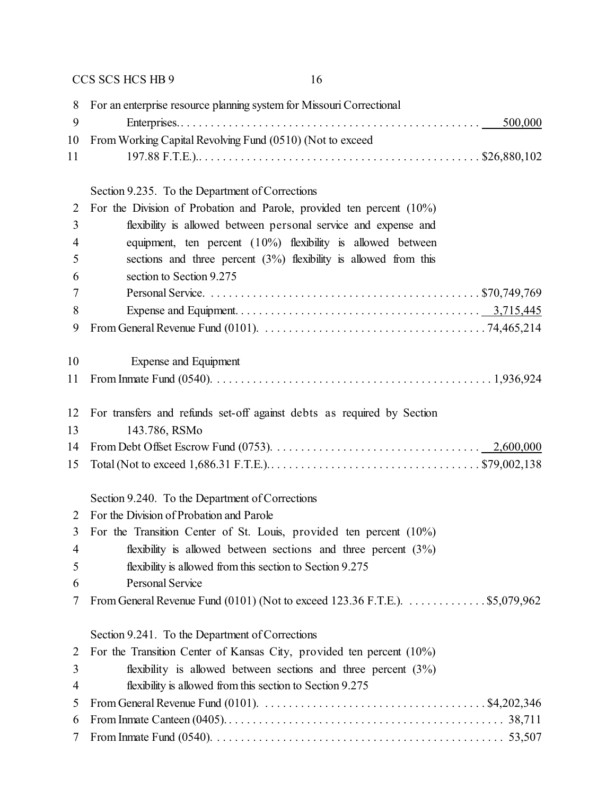| 8              | For an enterprise resource planning system for Missouri Correctional                                                         |
|----------------|------------------------------------------------------------------------------------------------------------------------------|
| 9              | 500,000                                                                                                                      |
| 10             | From Working Capital Revolving Fund (0510) (Not to exceed                                                                    |
| 11             |                                                                                                                              |
|                | Section 9.235. To the Department of Corrections                                                                              |
| $\overline{2}$ | For the Division of Probation and Parole, provided ten percent (10%)                                                         |
| 3              | flexibility is allowed between personal service and expense and                                                              |
| $\overline{4}$ | equipment, ten percent $(10\%)$ flexibility is allowed between                                                               |
| 5              | sections and three percent $(3%)$ flexibility is allowed from this                                                           |
| 6              | section to Section 9.275                                                                                                     |
| 7              |                                                                                                                              |
| 8              |                                                                                                                              |
| 9              |                                                                                                                              |
|                |                                                                                                                              |
| 10             | Expense and Equipment                                                                                                        |
| 11             |                                                                                                                              |
| 12             | For transfers and refunds set-off against debts as required by Section                                                       |
| 13             | 143.786, RSMo                                                                                                                |
| 14             |                                                                                                                              |
| 15             |                                                                                                                              |
|                | Section 9.240. To the Department of Corrections                                                                              |
| 2              | For the Division of Probation and Parole                                                                                     |
| 3              | For the Transition Center of St. Louis, provided ten percent (10%)                                                           |
| 4              | flexibility is allowed between sections and three percent $(3\%)$                                                            |
| 5              | flexibility is allowed from this section to Section 9.275                                                                    |
| 6              | Personal Service                                                                                                             |
| 7              | From General Revenue Fund $(0101)$ (Not to exceed 123.36 F.T.E.). $\dots \dots \dots \dots$ \$5,079,962                      |
|                | Section 9.241. To the Department of Corrections                                                                              |
| 2              | For the Transition Center of Kansas City, provided ten percent (10%)                                                         |
| 3              | flexibility is allowed between sections and three percent $(3\%)$                                                            |
| $\overline{4}$ | flexibility is allowed from this section to Section 9.275                                                                    |
| 5              | From General Revenue Fund (0101). $\ldots \ldots \ldots \ldots \ldots \ldots \ldots \ldots \ldots \ldots \ldots$ \$4,202,346 |
| 6              |                                                                                                                              |
| 7              |                                                                                                                              |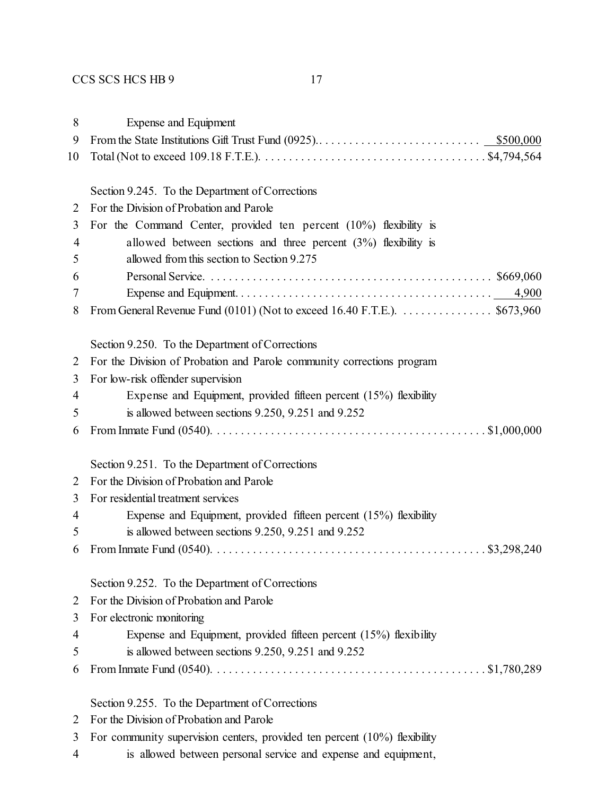| 8  | <b>Expense and Equipment</b>                                             |
|----|--------------------------------------------------------------------------|
| 9  |                                                                          |
| 10 |                                                                          |
|    | Section 9.245. To the Department of Corrections                          |
| 2  | For the Division of Probation and Parole                                 |
| 3  | For the Command Center, provided ten percent $(10\%)$ flexibility is     |
| 4  | allowed between sections and three percent $(3%)$ flexibility is         |
| 5  | allowed from this section to Section 9.275                               |
| 6  |                                                                          |
| 7  |                                                                          |
| 8  | From General Revenue Fund (0101) (Not to exceed 16.40 F.T.E.). \$673,960 |
|    | Section 9.250. To the Department of Corrections                          |
| 2  | For the Division of Probation and Parole community corrections program   |
| 3  | For low-risk offender supervision                                        |
| 4  | Expense and Equipment, provided fifteen percent (15%) flexibility        |
| 5  | is allowed between sections 9.250, 9.251 and 9.252                       |
| 6  |                                                                          |
|    | Section 9.251. To the Department of Corrections                          |
| 2  | For the Division of Probation and Parole                                 |
| 3  | For residential treatment services                                       |
| 4  | Expense and Equipment, provided fifteen percent (15%) flexibility        |
| 5  | is allowed between sections $9.250$ , $9.251$ and $9.252$                |
| 6  |                                                                          |
|    | Section 9.252. To the Department of Corrections                          |
| 2  | For the Division of Probation and Parole                                 |
| 3  | For electronic monitoring                                                |
| 4  | Expense and Equipment, provided fifteen percent (15%) flexibility        |
| 5  | is allowed between sections $9.250$ , $9.251$ and $9.252$                |
| 6  |                                                                          |
|    | Section 9.255. To the Department of Corrections                          |
| 2  | For the Division of Probation and Parole                                 |

- For community supervision centers, provided ten percent (10%) flexibility
- is allowed between personal service and expense and equipment,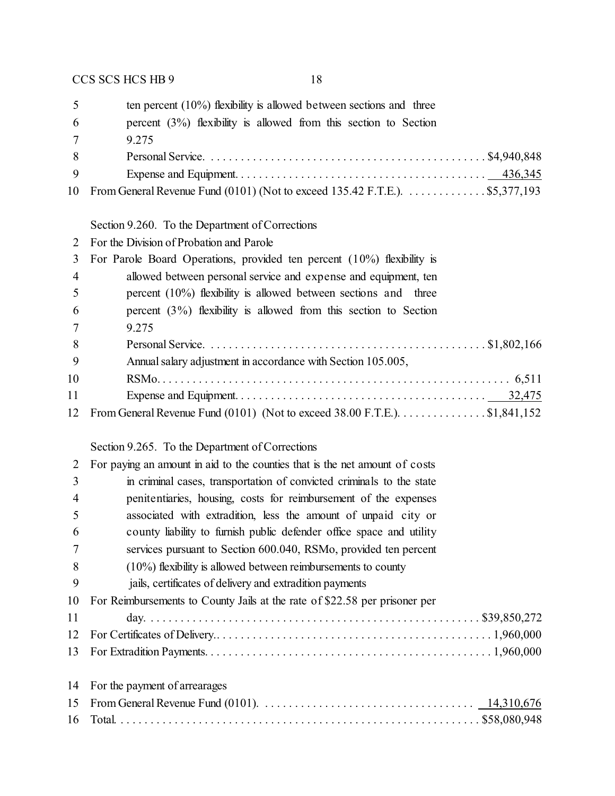| 5               | ten percent $(10\%)$ flexibility is allowed between sections and three      |
|-----------------|-----------------------------------------------------------------------------|
| -6              | percent $(3\%)$ flexibility is allowed from this section to Section         |
| $7\phantom{.0}$ | 9 2 7 5                                                                     |
| 8               |                                                                             |
| 9               |                                                                             |
| 10              | From General Revenue Fund (0101) (Not to exceed 135.42 F.T.E.). \$5,377,193 |
|                 |                                                                             |
|                 | Section 9.260. To the Department of Corrections                             |
|                 | For the Division of Probation and Parole                                    |
| 3               | For Parole Board Operations, provided ten percent $(10\%)$ flexibility is   |

|                | $\sigma$ ror rature board operations, provided tempered (1070) heading is     |
|----------------|-------------------------------------------------------------------------------|
| $\overline{4}$ | allowed between personal service and expense and equipment, ten               |
| $\overline{5}$ | percent $(10\%)$ flexibility is allowed between sections and three            |
| -6             | percent $(3\%)$ flexibility is allowed from this section to Section           |
| - 7            | 9.275                                                                         |
| 8              |                                                                               |
| $\overline{9}$ | Annual salary adjustment in accordance with Section 105.005,                  |
| 10             |                                                                               |
| 11             |                                                                               |
|                | 12 From General Revenue Fund (0101) (Not to exceed 38.00 F.T.E.). \$1,841,152 |

# Section 9.265. To the Department of Corrections

| 2  | For paying an amount in aid to the counties that is the net amount of costs |  |  |  |  |
|----|-----------------------------------------------------------------------------|--|--|--|--|
| 3  | in criminal cases, transportation of convicted criminals to the state       |  |  |  |  |
| 4  | penitentiaries, housing, costs for reimbursement of the expenses            |  |  |  |  |
| 5  | associated with extradition, less the amount of unpaid city or              |  |  |  |  |
| 6  | county liability to furnish public defender office space and utility        |  |  |  |  |
| 7  | services pursuant to Section 600.040, RSMo, provided ten percent            |  |  |  |  |
| 8  | $(10\%)$ flexibility is allowed between reimbursements to county            |  |  |  |  |
| 9  | jails, certificates of delivery and extradition payments                    |  |  |  |  |
| 10 | For Reimbursements to County Jails at the rate of \$22.58 per prisoner per  |  |  |  |  |
| 11 |                                                                             |  |  |  |  |
| 12 |                                                                             |  |  |  |  |
|    |                                                                             |  |  |  |  |
|    | 14 For the payment of arrearages                                            |  |  |  |  |
|    |                                                                             |  |  |  |  |
|    |                                                                             |  |  |  |  |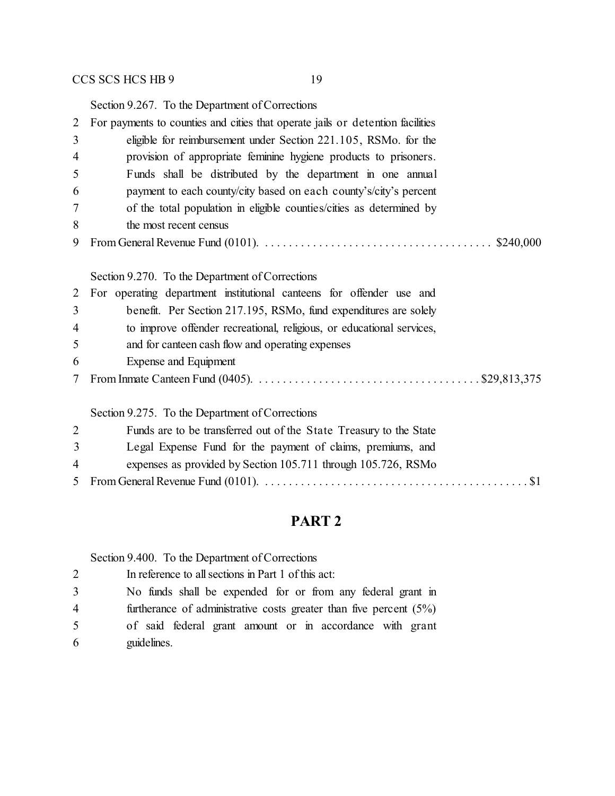Section 9.267. To the Department of Corrections

| $\overline{2}$ | For payments to counties and cities that operate jails or detention facilities                                             |  |  |  |  |  |
|----------------|----------------------------------------------------------------------------------------------------------------------------|--|--|--|--|--|
| 3              | eligible for reimbursement under Section 221.105, RSMo. for the                                                            |  |  |  |  |  |
| 4              | provision of appropriate feminine hygiene products to prisoners.                                                           |  |  |  |  |  |
| 5              | Funds shall be distributed by the department in one annual                                                                 |  |  |  |  |  |
| 6              | payment to each county/city based on each county's/city's percent                                                          |  |  |  |  |  |
| 7              | of the total population in eligible counties/cities as determined by                                                       |  |  |  |  |  |
| 8              | the most recent census                                                                                                     |  |  |  |  |  |
| 9              | From General Revenue Fund (0101). $\ldots \ldots \ldots \ldots \ldots \ldots \ldots \ldots \ldots \ldots \ldots$ \$240,000 |  |  |  |  |  |
|                |                                                                                                                            |  |  |  |  |  |
|                | Section 9.270. To the Department of Corrections                                                                            |  |  |  |  |  |
| $\overline{2}$ | For operating department institutional canteens for offender use and                                                       |  |  |  |  |  |
| 3              | benefit. Per Section 217.195, RSMo, fund expenditures are solely                                                           |  |  |  |  |  |
| 4              | to improve offender recreational, religious, or educational services,                                                      |  |  |  |  |  |
| 5              | and for canteen cash flow and operating expenses                                                                           |  |  |  |  |  |
| 6              | Expense and Equipment                                                                                                      |  |  |  |  |  |
| $\tau$         |                                                                                                                            |  |  |  |  |  |
|                | Section 9.275. To the Department of Corrections                                                                            |  |  |  |  |  |
| $\overline{2}$ | Funds are to be transferred out of the State Treasury to the State                                                         |  |  |  |  |  |
| 3              | Legal Expense Fund for the payment of claims, premiums, and                                                                |  |  |  |  |  |
| 4              | expenses as provided by Section 105.711 through 105.726, RSMo                                                              |  |  |  |  |  |
| 5              |                                                                                                                            |  |  |  |  |  |

# **PART 2**

Section 9.400. To the Department of Corrections

| 2 | In reference to all sections in Part 1 of this act:                   |
|---|-----------------------------------------------------------------------|
| 3 | No funds shall be expended for or from any federal grant in           |
| 4 | furtherance of administrative costs greater than five percent $(5\%)$ |
| 5 | of said federal grant amount or in accordance with grant              |
| 6 | guidelines.                                                           |